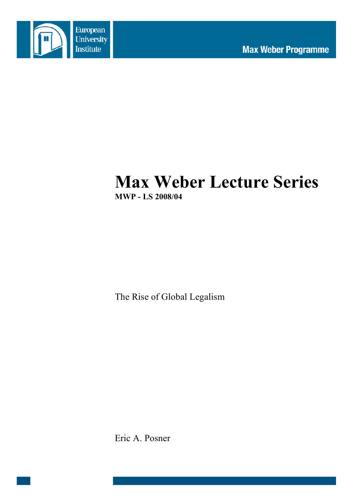

# **Max Weber Lecture Series MWP - LS 2008/04**

The Rise of Global Legalism

Eric A. Posner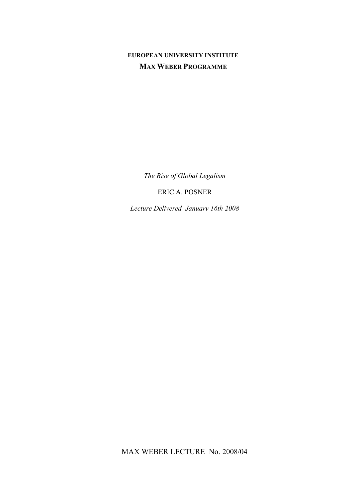# **EUROPEAN UNIVERSITY INSTITUTE MAX WEBER PROGRAMME**

*The Rise of Global Legalism*

ERIC A. POSNER

*Lecture Delivered January 16th 2008*

MAX WEBER LECTURE No. 2008/04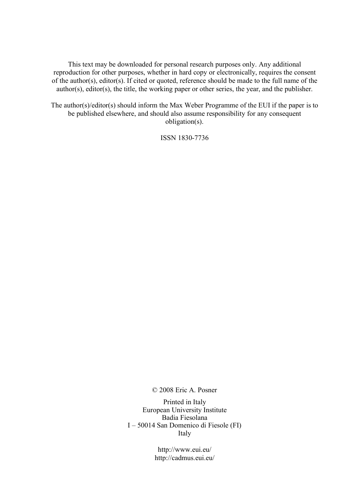This text may be downloaded for personal research purposes only. Any additional reproduction for other purposes, whether in hard copy or electronically, requires the consent of the author(s), editor(s). If cited or quoted, reference should be made to the full name of the author(s), editor(s), the title, the working paper or other series, the year, and the publisher.

The author(s)/editor(s) should inform the Max Weber Programme of the EUI if the paper is to be published elsewhere, and should also assume responsibility for any consequent obligation(s).

ISSN 1830-7736

© 2008 Eric A. Posner

Printed in Italy European University Institute Badia Fiesolana I – 50014 San Domenico di Fiesole (FI) Italy

> http://www.eui.eu/ http://cadmus.eui.eu/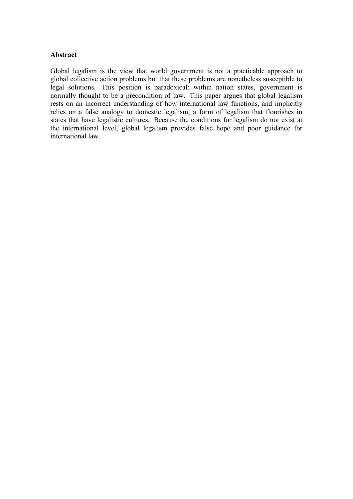# **Abstract**

Global legalism is the view that world government is not a practicable approach to global collective action problems but that these problems are nonetheless susceptible to legal solutions. This position is paradoxical: within nation states, government is normally thought to be a precondition of law. This paper argues that global legalism rests on an incorrect understanding of how international law functions, and implicitly relies on a false analogy to domestic legalism, a form of legalism that flourishes in states that have legalistic cultures. Because the conditions for legalism do not exist at the international level, global legalism provides false hope and poor guidance for international law.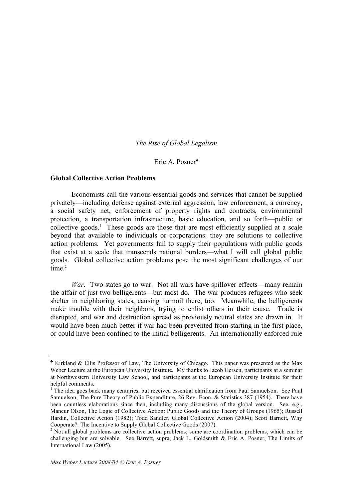*The Rise of Global Legalism*

Eric A. Posner ♣

#### **Global Collective Action Problems**

Economists call the various essential goods and services that cannot be supplied privately—including defense against external aggression, law enforcement, a currency, a social safety net, enforcement of property rights and contracts, environmental protection, a transportation infrastructure, basic education, and so forth—public or collective goods. <sup>1</sup> These goods are those that are most efficiently supplied at a scale beyond that available to individuals or corporations: they are solutions to collective action problems. Yet governments fail to supply their populations with public goods that exist at a scale that transcends national borders—what I will call global public goods. Global collective action problems pose the most significant challenges of our time. 2

*War*. Two states go to war. Not all wars have spillover effects—many remain the affair of just two belligerents—but most do. The war produces refugees who seek shelter in neighboring states, causing turmoil there, too. Meanwhile, the belligerents make trouble with their neighbors, trying to enlist others in their cause. Trade is disrupted, and war and destruction spread as previously neutral states are drawn in. It would have been much better if war had been prevented from starting in the first place, or could have been confined to the initial belligerents. An internationally enforced rule

 $\overline{a}$ 

<sup>♣</sup> Kirkland & Ellis Professor of Law, The University of Chicago. This paper was presented as the Max Weber Lecture at the European University Institute. My thanks to Jacob Gersen, participants at a seminar at Northwestern University Law School, and participants at the European University Institute for their helpful comments.<br><sup>1</sup> The idea goes back many centuries, but received essential clarification from Paul Samuelson. See Paul

Samuelson, The Pure Theory of Public Expenditure, 26 Rev. Econ. & Statistics 387 (1954). There have been countless elaborations since then, including many discussions of the global version. See, e.g., Mancur Olson, The Logic of Collective Action: Public Goods and the Theory of Groups (1965); Russell Hardin, Collective Action (1982); Todd Sandler, Global Collective Action (2004); Scott Barnett, Why Cooperate?: The Incentive to Supply Global Collective Goods (2007).

 $^{2}$  Not all global problems are collective action problems; some are coordination problems, which can be challenging but are solvable. See Barrett, supra; Jack L. Goldsmith & Eric A. Posner, The Limits of International Law (2005).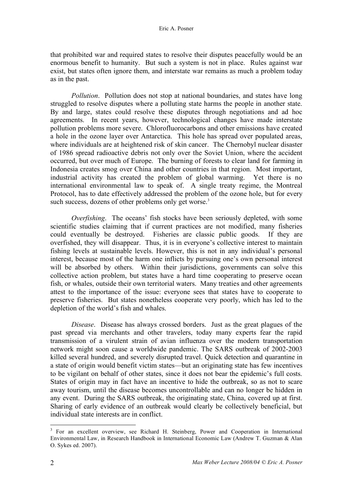that prohibited war and required states to resolve their disputes peacefully would be an enormous benefit to humanity. But such a system is not in place. Rules against war exist, but states often ignore them, and interstate war remains as much a problem today as in the past.

*Pollution*. Pollution does not stop at national boundaries, and states have long struggled to resolve disputes where a polluting state harms the people in another state. By and large, states could resolve these disputes through negotiations and ad hoc agreements. In recent years, however, technological changes have made interstate pollution problems more severe. Chlorofluorocarbons and other emissions have created a hole in the ozone layer over Antarctica. This hole has spread over populated areas, where individuals are at heightened risk of skin cancer. The Chernobyl nuclear disaster of 1986 spread radioactive debris not only over the Soviet Union, where the accident occurred, but over much of Europe. The burning of forests to clear land for farming in Indonesia creates smog over China and other countries in that region. Most important, industrial activity has created the problem of global warming. Yet there is no international environmental law to speak of. A single treaty regime, the Montreal Protocol, has to date effectively addressed the problem of the ozone hole, but for every such success, dozens of other problems only get worse.<sup>3</sup>

*Overfishing*. The oceans' fish stocks have been seriously depleted, with some scientific studies claiming that if current practices are not modified, many fisheries could eventually be destroyed. Fisheries are classic public goods. If they are overfished, they will disappear. Thus, it is in everyone's collective interest to maintain fishing levels at sustainable levels. However, this is not in any individual's personal interest, because most of the harm one inflicts by pursuing one's own personal interest will be absorbed by others. Within their jurisdictions, governments can solve this collective action problem, but states have a hard time cooperating to preserve ocean fish, or whales, outside their own territorial waters. Many treaties and other agreements attest to the importance of the issue: everyone sees that states have to cooperate to preserve fisheries. But states nonetheless cooperate very poorly, which has led to the depletion of the world's fish and whales.

*Disease*. Disease has always crossed borders. Just as the great plagues of the past spread via merchants and other travelers, today many experts fear the rapid transmission of a virulent strain of avian influenza over the modern transportation network might soon cause a worldwide pandemic. The SARS outbreak of 2002-2003 killed several hundred, and severely disrupted travel. Quick detection and quarantine in a state of origin would benefit victim states—but an originating state has few incentives to be vigilant on behalf of other states, since it does not bear the epidemic's full costs. States of origin may in fact have an incentive to hide the outbreak, so as not to scare away tourism, until the disease becomes uncontrollable and can no longer be hidden in any event. During the SARS outbreak, the originating state, China, covered up at first. Sharing of early evidence of an outbreak would clearly be collectively beneficial, but individual state interests are in conflict.

<sup>&</sup>lt;sup>3</sup> For an excellent overview, see Richard H. Steinberg, Power and Cooperation in International Environmental Law, in Research Handbook in International Economic Law (Andrew T. Guzman & Alan O. Sykes ed. 2007).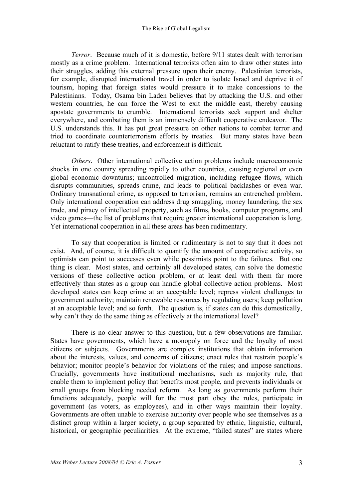*Terror*. Because much of it is domestic, before 9/11 states dealt with terrorism mostly as a crime problem. International terrorists often aim to draw other states into their struggles, adding this external pressure upon their enemy. Palestinian terrorists, for example, disrupted international travel in order to isolate Israel and deprive it of tourism, hoping that foreign states would pressure it to make concessions to the Palestinians. Today, Osama bin Laden believes that by attacking the U.S. and other western countries, he can force the West to exit the middle east, thereby causing apostate governments to crumble. International terrorists seek support and shelter everywhere, and combating them is an immensely difficult cooperative endeavor. The U.S. understands this. It has put great pressure on other nations to combat terror and tried to coordinate counterterrorism efforts by treaties. But many states have been reluctant to ratify these treaties, and enforcement is difficult.

*Others*. Other international collective action problems include macroeconomic shocks in one country spreading rapidly to other countries, causing regional or even global economic downturns; uncontrolled migration, including refugee flows, which disrupts communities, spreads crime, and leads to political backlashes or even war. Ordinary transnational crime, as opposed to terrorism, remains an entrenched problem. Only international cooperation can address drug smuggling, money laundering, the sex trade, and piracy of intellectual property, such as films, books, computer programs, and video games—the list of problems that require greater international cooperation is long. Yet international cooperation in all these areas has been rudimentary.

To say that cooperation is limited or rudimentary is not to say that it does not exist. And, of course, it is difficult to quantify the amount of cooperative activity, so optimists can point to successes even while pessimists point to the failures. But one thing is clear. Most states, and certainly all developed states, can solve the domestic versions of these collective action problem, or at least deal with them far more effectively than states as a group can handle global collective action problems. Most developed states can keep crime at an acceptable level; repress violent challenges to government authority; maintain renewable resources by regulating users; keep pollution at an acceptable level; and so forth. The question is, if states can do this domestically, why can't they do the same thing as effectively at the international level?

There is no clear answer to this question, but a few observations are familiar. States have governments, which have a monopoly on force and the loyalty of most citizens or subjects. Governments are complex institutions that obtain information about the interests, values, and concerns of citizens; enact rules that restrain people's behavior; monitor people's behavior for violations of the rules; and impose sanctions. Crucially, governments have institutional mechanisms, such as majority rule, that enable them to implement policy that benefits most people, and prevents individuals or small groups from blocking needed reform. As long as governments perform their functions adequately, people will for the most part obey the rules, participate in government (as voters, as employees), and in other ways maintain their loyalty. Governments are often unable to exercise authority over people who see themselves as a distinct group within a larger society, a group separated by ethnic, linguistic, cultural, historical, or geographic peculiarities. At the extreme, "failed states" are states where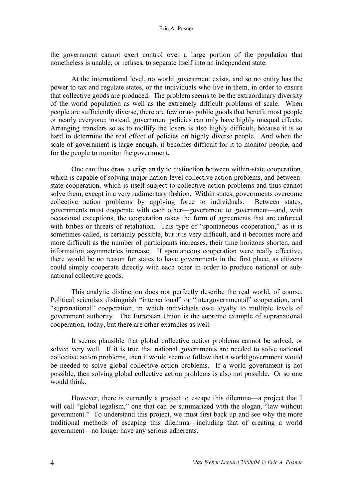the government cannot exert control over a large portion of the population that nonetheless is unable, or refuses, to separate itself into an independent state.

At the international level, no world government exists, and so no entity has the power to tax and regulate states, or the individuals who live in them, in order to ensure that collective goods are produced. The problem seems to be the extraordinary diversity of the world population as well as the extremely difficult problems of scale. When people are sufficiently diverse, there are few or no public goods that benefit most people or nearly everyone; instead, government policies can only have highly unequal effects. Arranging transfers so as to mollify the losers is also highly difficult, because it is so hard to determine the real effect of policies on highly diverse people. And when the scale of government is large enough, it becomes difficult for it to monitor people, and for the people to monitor the government.

One can thus draw a crisp analytic distinction between within-state cooperation, which is capable of solving major nation-level collective action problems, and betweenstate cooperation, which is itself subject to collective action problems and thus cannot solve them, except in a very rudimentary fashion. Within states, governments overcome collective action problems by applying force to individuals. Between states, governments must cooperate with each other—government to government—and, with occasional exceptions, the cooperation takes the form of agreements that are enforced with bribes or threats of retaliation. This type of "spontaneous cooperation," as it is sometimes called, is certainly possible, but it is very difficult, and it becomes more and more difficult as the number of participants increases, their time horizons shorten, and information asymmetries increase. If spontaneous cooperation were really effective, there would be no reason for states to have governments in the first place, as citizens could simply cooperate directly with each other in order to produce national or subnational collective goods.

This analytic distinction does not perfectly describe the real world, of course. Political scientists distinguish "international" or "intergovernmental" cooperation, and "supranational" cooperation, in which individuals owe loyalty to multiple levels of government authority. The European Union is the supreme example of supranational cooperation, today, but there are other examples as well.

It seems plausible that global collective action problems cannot be solved, or solved very well. If it is true that national governments are needed to solve national collective action problems, then it would seem to follow that a world government would be needed to solve global collective action problems. If a world government is not possible, then solving global collective action problems is also not possible. Or so one would think.

However, there is currently a project to escape this dilemma—a project that I will call "global legalism," one that can be summarized with the slogan, "law without government." To understand this project, we must first back up and see why the more traditional methods of escaping this dilemma—including that of creating a world government—no longer have any serious adherents.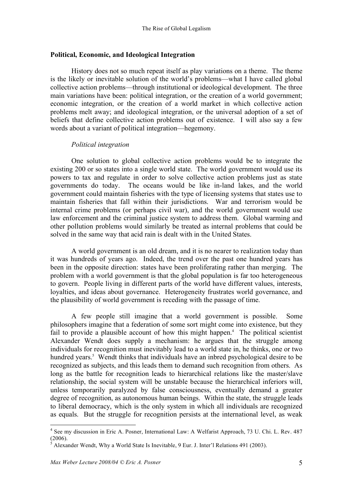#### **Political, Economic, and Ideological Integration**

History does not so much repeat itself as play variations on a theme. The theme is the likely or inevitable solution of the world's problems—what I have called global collective action problems—through institutional or ideological development. The three main variations have been: political integration, or the creation of a world government; economic integration, or the creation of a world market in which collective action problems melt away; and ideological integration, or the universal adoption of a set of beliefs that define collective action problems out of existence. I will also say a few words about a variant of political integration—hegemony.

#### *Political integration*

One solution to global collective action problems would be to integrate the existing 200 or so states into a single world state. The world government would use its powers to tax and regulate in order to solve collective action problems just as state governments do today. The oceans would be like in-land lakes, and the world government could maintain fisheries with the type of licensing systems that states use to maintain fisheries that fall within their jurisdictions. War and terrorism would be internal crime problems (or perhaps civil war), and the world government would use law enforcement and the criminal justice system to address them. Global warming and other pollution problems would similarly be treated as internal problems that could be solved in the same way that acid rain is dealt with in the United States.

A world government is an old dream, and it is no nearer to realization today than it was hundreds of years ago. Indeed, the trend over the past one hundred years has been in the opposite direction: states have been proliferating rather than merging. The problem with a world government is that the global population is far too heterogeneous to govern. People living in different parts of the world have different values, interests, loyalties, and ideas about governance. Heterogeneity frustrates world governance, and the plausibility of world government is receding with the passage of time.

A few people still imagine that a world government is possible. Some philosophers imagine that a federation of some sort might come into existence, but they fail to provide a plausible account of how this might happen.<sup>4</sup> The political scientist Alexander Wendt does supply a mechanism: he argues that the struggle among individuals for recognition must inevitably lead to a world state in, he thinks, one or two hundred years. <sup>5</sup> Wendt thinks that individuals have an inbred psychological desire to be recognized as subjects, and this leads them to demand such recognition from others. As long as the battle for recognition leads to hierarchical relations like the master/slave relationship, the social system will be unstable because the hierarchical inferiors will, unless temporarily paralyzed by false consciousness, eventually demand a greater degree of recognition, as autonomous human beings. Within the state, the struggle leads to liberal democracy, which is the only system in which all individuals are recognized as equals. But the struggle for recognition persists at the international level, as weak

<sup>&</sup>lt;sup>4</sup> See my discussion in Eric A. Posner, International Law: A Welfarist Approach, 73 U. Chi. L. Rev. 487 (2006).

Alexander Wendt, Why a World State Is Inevitable, 9 Eur. J. Inter'l Relations 491 (2003).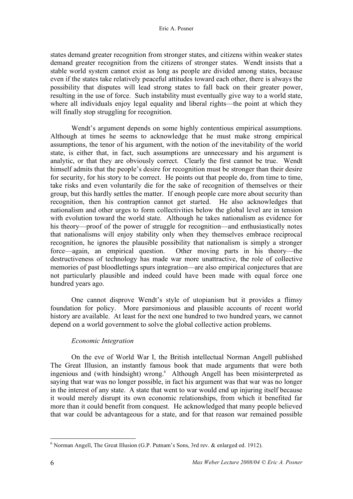states demand greater recognition from stronger states, and citizens within weaker states demand greater recognition from the citizens of stronger states. Wendt insists that a stable world system cannot exist as long as people are divided among states, because even if the states take relatively peaceful attitudes toward each other, there is always the possibility that disputes will lead strong states to fall back on their greater power, resulting in the use of force. Such instability must eventually give way to a world state, where all individuals enjoy legal equality and liberal rights—the point at which they will finally stop struggling for recognition.

Wendt's argument depends on some highly contentious empirical assumptions. Although at times he seems to acknowledge that he must make strong empirical assumptions, the tenor of his argument, with the notion of the inevitability of the world state, is either that, in fact, such assumptions are unnecessary and his argument is analytic, or that they are obviously correct. Clearly the first cannot be true. Wendt himself admits that the people's desire for recognition must be stronger than their desire for security, for his story to be correct. He points out that people do, from time to time, take risks and even voluntarily die for the sake of recognition of themselves or their group, but this hardly settles the matter. If enough people care more about security than recognition, then his contraption cannot get started. He also acknowledges that nationalism and other urges to form collectivities below the global level are in tension with evolution toward the world state. Although he takes nationalism as evidence for his theory—proof of the power of struggle for recognition—and enthusiastically notes that nationalisms will enjoy stability only when they themselves embrace reciprocal recognition, he ignores the plausible possibility that nationalism is simply a stronger force—again, an empirical question. Other moving parts in his theory—the destructiveness of technology has made war more unattractive, the role of collective memories of past bloodlettings spurs integration—are also empirical conjectures that are not particularly plausible and indeed could have been made with equal force one hundred years ago.

One cannot disprove Wendt's style of utopianism but it provides a flimsy foundation for policy. More parsimonious and plausible accounts of recent world history are available. At least for the next one hundred to two hundred years, we cannot depend on a world government to solve the global collective action problems.

# *Economic Integration*

On the eve of World War I, the British intellectual Norman Angell published The Great Illusion, an instantly famous book that made arguments that were both ingenious and (with hindsight) wrong.<sup>6</sup> Although Angell has been misinterpreted as saying that war was no longer possible, in fact his argument was that war was no longer in the interest of any state. A state that went to war would end up injuring itself because it would merely disrupt its own economic relationships, from which it benefited far more than it could benefit from conquest. He acknowledged that many people believed that war could be advantageous for a state, and for that reason war remained possible

 $6$  Norman Angell, The Great Illusion (G.P. Putnam's Sons, 3rd rev. & enlarged ed. 1912).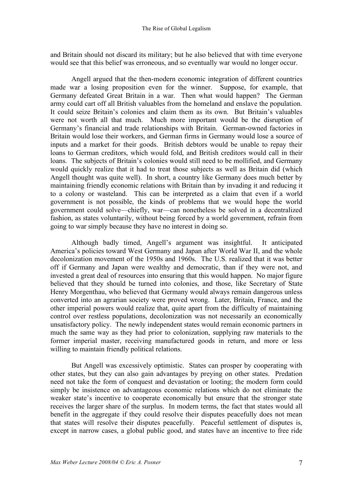and Britain should not discard its military; but he also believed that with time everyone would see that this belief was erroneous, and so eventually war would no longer occur.

Angell argued that the then-modern economic integration of different countries made war a losing proposition even for the winner. Suppose, for example, that Germany defeated Great Britain in a war. Then what would happen? The German army could cart off all British valuables from the homeland and enslave the population. It could seize Britain's colonies and claim them as its own. But Britain's valuables were not worth all that much. Much more important would be the disruption of Germany's financial and trade relationships with Britain. German-owned factories in Britain would lose their workers, and German firms in Germany would lose a source of inputs and a market for their goods. British debtors would be unable to repay their loans to German creditors, which would fold, and British creditors would call in their loans. The subjects of Britain's colonies would still need to be mollified, and Germany would quickly realize that it had to treat those subjects as well as Britain did (which Angell thought was quite well). In short, a country like Germany does much better by maintaining friendly economic relations with Britain than by invading it and reducing it to a colony or wasteland. This can be interpreted as a claim that even if a world government is not possible, the kinds of problems that we would hope the world government could solve—chiefly, war—can nonetheless be solved in a decentralized fashion, as states voluntarily, without being forced by a world government, refrain from going to war simply because they have no interest in doing so.

Although badly timed, Angell's argument was insightful. It anticipated America's policies toward West Germany and Japan after World War II, and the whole decolonization movement of the 1950s and 1960s. The U.S. realized that it was better off if Germany and Japan were wealthy and democratic, than if they were not, and invested a great deal of resources into ensuring that this would happen. No major figure believed that they should be turned into colonies, and those, like Secretary of State Henry Morgenthau, who believed that Germany would always remain dangerous unless converted into an agrarian society were proved wrong. Later, Britain, France, and the other imperial powers would realize that, quite apart from the difficulty of maintaining control over restless populations, decolonization was not necessarily an economically unsatisfactory policy. The newly independent states would remain economic partners in much the same way as they had prior to colonization, supplying raw materials to the former imperial master, receiving manufactured goods in return, and more or less willing to maintain friendly political relations.

But Angell was excessively optimistic. States can prosper by cooperating with other states, but they can also gain advantages by preying on other states. Predation need not take the form of conquest and devastation or looting; the modern form could simply be insistence on advantageous economic relations which do not eliminate the weaker state's incentive to cooperate economically but ensure that the stronger state receives the larger share of the surplus. In modern terms, the fact that states would all benefit in the aggregate if they could resolve their disputes peacefully does not mean that states will resolve their disputes peacefully. Peaceful settlement of disputes is, except in narrow cases, a global public good, and states have an incentive to free ride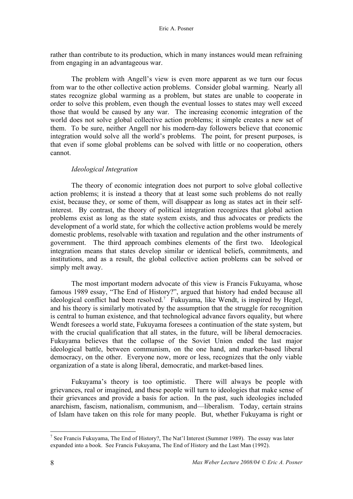rather than contribute to its production, which in many instances would mean refraining from engaging in an advantageous war.

The problem with Angell's view is even more apparent as we turn our focus from war to the other collective action problems. Consider global warming. Nearly all states recognize global warming as a problem, but states are unable to cooperate in order to solve this problem, even though the eventual losses to states may well exceed those that would be caused by any war. The increasing economic integration of the world does not solve global collective action problems; it simple creates a new set of them. To be sure, neither Angell nor his modern-day followers believe that economic integration would solve all the world's problems. The point, for present purposes, is that even if some global problems can be solved with little or no cooperation, others cannot.

# *Ideological Integration*

The theory of economic integration does not purport to solve global collective action problems; it is instead a theory that at least some such problems do not really exist, because they, or some of them, will disappear as long as states act in their selfinterest. By contrast, the theory of political integration recognizes that global action problems exist as long as the state system exists, and thus advocates or predicts the development of a world state, for which the collective action problems would be merely domestic problems, resolvable with taxation and regulation and the other instruments of government. The third approach combines elements of the first two. Ideological integration means that states develop similar or identical beliefs, commitments, and institutions, and as a result, the global collective action problems can be solved or simply melt away.

The most important modern advocate of this view is Francis Fukuyama, whose famous 1989 essay, "The End of History?", argued that history had ended because all ideological conflict had been resolved.<sup>7</sup> Fukuyama, like Wendt, is inspired by Hegel, and his theory is similarly motivated by the assumption that the struggle for recognition is central to human existence, and that technological advance favors equality, but where Wendt foresees a world state, Fukuyama foresees a continuation of the state system, but with the crucial qualification that all states, in the future, will be liberal democracies. Fukuyama believes that the collapse of the Soviet Union ended the last major ideological battle, between communism, on the one hand, and market-based liberal democracy, on the other. Everyone now, more or less, recognizes that the only viable organization of a state is along liberal, democratic, and market-based lines.

Fukuyama's theory is too optimistic. There will always be people with grievances, real or imagined, and these people will turn to ideologies that make sense of their grievances and provide a basis for action. In the past, such ideologies included anarchism, fascism, nationalism, communism, and—liberalism. Today, certain strains of Islam have taken on this role for many people. But, whether Fukuyama is right or

<sup>&</sup>lt;sup>7</sup> See Francis Fukuyama, The End of History?, The Nat'l Interest (Summer 1989). The essay was later expanded into a book. See Francis Fukuyama, The End of History and the Last Man (1992).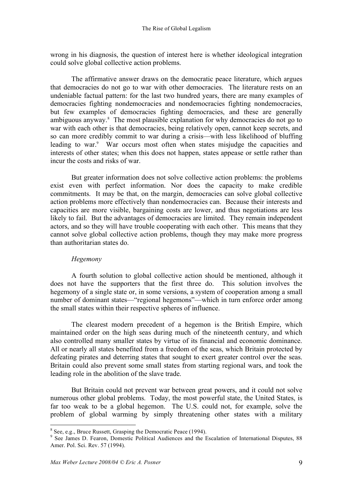wrong in his diagnosis, the question of interest here is whether ideological integration could solve global collective action problems.

The affirmative answer draws on the democratic peace literature, which argues that democracies do not go to war with other democracies. The literature rests on an undeniable factual pattern: for the last two hundred years, there are many examples of democracies fighting nondemocracies and nondemocracies fighting nondemocracies, but few examples of democracies fighting democracies, and these are generally ambiguous anyway.8 The most plausible explanation for why democracies do not go to war with each other is that democracies, being relatively open, cannot keep secrets, and so can more credibly commit to war during a crisis—with less likelihood of bluffing leading to war.<sup>9</sup> War occurs most often when states misjudge the capacities and interests of other states; when this does not happen, states appease or settle rather than incur the costs and risks of war.

But greater information does not solve collective action problems: the problems exist even with perfect information. Nor does the capacity to make credible commitments. It may be that, on the margin, democracies can solve global collective action problems more effectively than nondemocracies can. Because their interests and capacities are more visible, bargaining costs are lower, and thus negotiations are less likely to fail. But the advantages of democracies are limited. They remain independent actors, and so they will have trouble cooperating with each other. This means that they cannot solve global collective action problems, though they may make more progress than authoritarian states do.

# *Hegemony*

A fourth solution to global collective action should be mentioned, although it does not have the supporters that the first three do. This solution involves the hegemony of a single state or, in some versions, a system of cooperation among a small number of dominant states—"regional hegemons"—which in turn enforce order among the small states within their respective spheres of influence.

The clearest modern precedent of a hegemon is the British Empire, which maintained order on the high seas during much of the nineteenth century, and which also controlled many smaller states by virtue of its financial and economic dominance. All or nearly all states benefited from a freedom of the seas, which Britain protected by defeating pirates and deterring states that sought to exert greater control over the seas. Britain could also prevent some small states from starting regional wars, and took the leading role in the abolition of the slave trade.

But Britain could not prevent war between great powers, and it could not solve numerous other global problems. Today, the most powerful state, the United States, is far too weak to be a global hegemon. The U.S. could not, for example, solve the problem of global warming by simply threatening other states with a military

<sup>&</sup>lt;sup>8</sup> See, e.g., Bruce Russett, Grasping the Democratic Peace (1994).<br><sup>9</sup> See James D. Fearon, Domestic Political Audiences and the Escalation of International Disputes, 88 Amer. Pol. Sci. Rev. 57 (1994).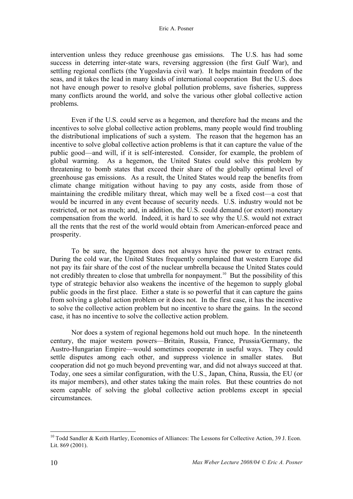intervention unless they reduce greenhouse gas emissions. The U.S. has had some success in deterring inter-state wars, reversing aggression (the first Gulf War), and settling regional conflicts (the Yugoslavia civil war). It helps maintain freedom of the seas, and it takes the lead in many kinds of international cooperation But the U.S. does not have enough power to resolve global pollution problems, save fisheries, suppress many conflicts around the world, and solve the various other global collective action problems.

Even if the U.S. could serve as a hegemon, and therefore had the means and the incentives to solve global collective action problems, many people would find troubling the distributional implications of such a system. The reason that the hegemon has an incentive to solve global collective action problems is that it can capture the value of the public good—and will, if it is self-interested. Consider, for example, the problem of global warming. As a hegemon, the United States could solve this problem by threatening to bomb states that exceed their share of the globally optimal level of greenhouse gas emissions. As a result, the United States would reap the benefits from climate change mitigation without having to pay any costs, aside from those of maintaining the credible military threat, which may well be a fixed cost—a cost that would be incurred in any event because of security needs. U.S. industry would not be restricted, or not as much; and, in addition, the U.S. could demand (or extort) monetary compensation from the world. Indeed, it is hard to see why the U.S. would not extract all the rents that the rest of the world would obtain from American-enforced peace and prosperity.

To be sure, the hegemon does not always have the power to extract rents. During the cold war, the United States frequently complained that western Europe did not pay its fair share of the cost of the nuclear umbrella because the United States could not credibly threaten to close that umbrella for nonpayment.<sup>10</sup> But the possibility of this type of strategic behavior also weakens the incentive of the hegemon to supply global public goods in the first place. Either a state is so powerful that it can capture the gains from solving a global action problem or it does not. In the first case, it has the incentive to solve the collective action problem but no incentive to share the gains. In the second case, it has no incentive to solve the collective action problem.

Nor does a system of regional hegemons hold out much hope. In the nineteenth century, the major western powers—Britain, Russia, France, Prussia/Germany, the Austro-Hungarian Empire—would sometimes cooperate in useful ways. They could settle disputes among each other, and suppress violence in smaller states. But cooperation did not go much beyond preventing war, and did not always succeed at that. Today, one sees a similar configuration, with the U.S., Japan, China, Russia, the EU (or its major members), and other states taking the main roles. But these countries do not seem capable of solving the global collective action problems except in special circumstances.

<sup>&</sup>lt;sup>10</sup> Todd Sandler & Keith Hartley, Economics of Alliances: The Lessons for Collective Action, 39 J. Econ. Lit. 869 (2001).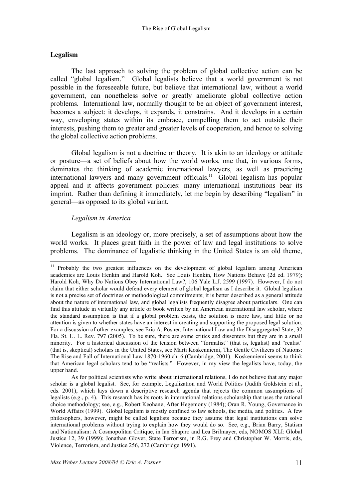#### **Legalism**

The last approach to solving the problem of global collective action can be called "global legalism." Global legalists believe that a world government is not possible in the foreseeable future, but believe that international law, without a world government, can nonetheless solve or greatly ameliorate global collective action problems. International law, normally thought to be an object of government interest, becomes a subject: it develops, it expands, it constrains. And it develops in a certain way, enveloping states within its embrace, compelling them to act outside their interests, pushing them to greater and greater levels of cooperation, and hence to solving the global collective action problems.

Global legalism is not a doctrine or theory. It is akin to an ideology or attitude or posture—a set of beliefs about how the world works, one that, in various forms, dominates the thinking of academic international lawyers, as well as practicing international lawyers and many government officials. <sup>11</sup> Global legalism has popular appeal and it affects government policies: many international institutions bear its imprint. Rather than defining it immediately, let me begin by describing "legalism" in general—as opposed to its global variant.

#### *Legalism in America*

Legalism is an ideology or, more precisely, a set of assumptions about how the world works. It places great faith in the power of law and legal institutions to solve problems. The dominance of legalistic thinking in the United States is an old theme,

<sup>&</sup>lt;sup>11</sup> Probably the two greatest influences on the development of global legalism among American academics are Louis Henkin and Harold Koh. See Louis Henkin, How Nations Behave (2d ed. 1979); Harold Koh, Why Do Nations Obey International Law?, 106 Yale L.J. 2599 (1997). However, I do not claim that either scholar would defend every element of global legalism as I describe it. Global legalism is not a precise set of doctrines or methodological commitments; it is better described as a general attitude about the nature of international law, and global legalists frequently disagree about particulars. One can find this attitude in virtually any article or book written by an American international law scholar, where the standard assumption is that if a global problem exists, the solution is more law, and little or no attention is given to whether states have an interest in creating and supporting the proposed legal solution. For a discussion of other examples, see Eric A. Posner, International Law and the Disaggregated State, 32 Fla. St. U. L. Rev. 797 (2005). To be sure, there are some critics and dissenters but they are in a small minority. For a historical discussion of the tension between "formalist" (that is, legalist) and "realist" (that is, skeptical) scholars in the United States, see Marti Koskenniemi, The Gentle Civilizers of Nations: The Rise and Fall of International Law 1870-1960 ch. 6 (Cambridge, 2001). Koskenniemi seems to think that American legal scholars tend to be "realists." However, in my view the legalists have, today, the upper hand.

As for political scientists who write about international relations, I do not believe that any major scholar is a global legalist. See, for example, Legalization and World Politics (Judith Goldstein et al., eds. 2001), which lays down a descriptive research agenda that rejects the common assumptions of legalists (e.g., p. 4). This research has its roots in international relations scholarship that uses the rational choice methodology; see, e.g., Robert Keohane, After Hegemony (1984); Oran R. Young, Governance in World Affairs (1999). Global legalism is mostly confined to law schools, the media, and politics. A few philosophers, however, might be called legalists because they assume that legal institutions can solve international problems without trying to explain how they would do so. See, e.g., Brian Barry, Statism and Nationalism: A Cosmopolitan Critique, in Ian Shapiro and Lea Brilmayer, eds, NOMOS XLI: Global Justice 12, 39 (1999); Jonathan Glover, State Terrorism, in R.G. Frey and Christopher W. Morris, eds, Violence, Terrorism, and Justice 256, 272 (Cambridge 1991).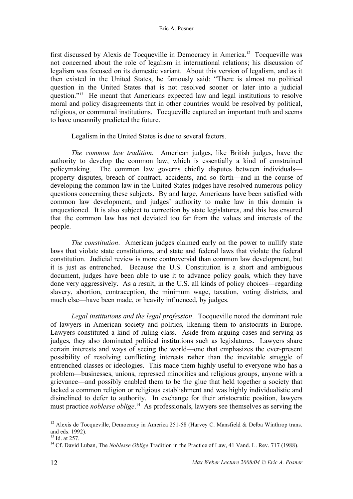first discussed by Alexis de Tocqueville in Democracy in America. <sup>12</sup> Tocqueville was not concerned about the role of legalism in international relations; his discussion of legalism was focused on its domestic variant. About this version of legalism, and as it then existed in the United States, he famously said: "There is almost no political question in the United States that is not resolved sooner or later into a judicial question."13 He meant that Americans expected law and legal institutions to resolve moral and policy disagreements that in other countries would be resolved by political, religious, or communal institutions. Tocqueville captured an important truth and seems to have uncannily predicted the future.

Legalism in the United States is due to several factors.

*The common law tradition.* American judges, like British judges, have the authority to develop the common law, which is essentially a kind of constrained policymaking. The common law governs chiefly disputes between individuals property disputes, breach of contract, accidents, and so forth—and in the course of developing the common law in the United States judges have resolved numerous policy questions concerning these subjects. By and large, Americans have been satisfied with common law development, and judges' authority to make law in this domain is unquestioned. It is also subject to correction by state legislatures, and this has ensured that the common law has not deviated too far from the values and interests of the people.

*The constitution*. American judges claimed early on the power to nullify state laws that violate state constitutions, and state and federal laws that violate the federal constitution. Judicial review is more controversial than common law development, but it is just as entrenched. Because the U.S. Constitution is a short and ambiguous document, judges have been able to use it to advance policy goals, which they have done very aggressively. As a result, in the U.S. all kinds of policy choices—regarding slavery, abortion, contraception, the minimum wage, taxation, voting districts, and much else—have been made, or heavily influenced, by judges.

*Legal institutions and the legal profession*. Tocqueville noted the dominant role of lawyers in American society and politics, likening them to aristocrats in Europe. Lawyers constituted a kind of ruling class. Aside from arguing cases and serving as judges, they also dominated political institutions such as legislatures. Lawyers share certain interests and ways of seeing the world—one that emphasizes the ever-present possibility of resolving conflicting interests rather than the inevitable struggle of entrenched classes or ideologies. This made them highly useful to everyone who has a problem—businesses, unions, repressed minorities and religious groups, anyone with a grievance—and possibly enabled them to be the glue that held together a society that lacked a common religion or religious establishment and was highly individualistic and disinclined to defer to authority. In exchange for their aristocratic position, lawyers must practice *noblesse oblige*. <sup>14</sup> As professionals, lawyers see themselves as serving the

<sup>&</sup>lt;sup>12</sup> Alexis de Tocqueville, Democracy in America 251-58 (Harvey C. Mansfield & Delba Winthrop trans. and eds. 1992).<br><sup>13</sup> Id. at 257.<br><sup>14</sup> Cf. David Luban, The *Noblesse Oblige* Tradition in the Practice of Law, 41 Vand. L. Rev. 717 (1988).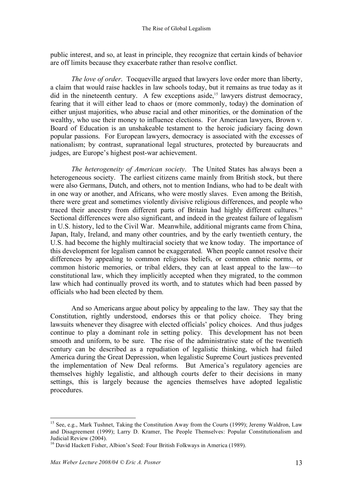public interest, and so, at least in principle, they recognize that certain kinds of behavior are off limits because they exacerbate rather than resolve conflict.

*The love of order*. Tocqueville argued that lawyers love order more than liberty, a claim that would raise hackles in law schools today, but it remains as true today as it did in the nineteenth century. A few exceptions aside, <sup>15</sup> lawyers distrust democracy, fearing that it will either lead to chaos or (more commonly, today) the domination of either unjust majorities, who abuse racial and other minorities, or the domination of the wealthy, who use their money to influence elections. For American lawyers, Brown v. Board of Education is an unshakeable testament to the heroic judiciary facing down popular passions. For European lawyers, democracy is associated with the excesses of nationalism; by contrast, supranational legal structures, protected by bureaucrats and judges, are Europe's highest post-war achievement.

*The heterogeneity of American society*. The United States has always been a heterogeneous society. The earliest citizens came mainly from British stock, but there were also Germans, Dutch, and others, not to mention Indians, who had to be dealt with in one way or another, and Africans, who were mostly slaves. Even among the British, there were great and sometimes violently divisive religious differences, and people who traced their ancestry from different parts of Britain had highly different cultures.<sup>16</sup> Sectional differences were also significant, and indeed in the greatest failure of legalism in U.S. history, led to the Civil War. Meanwhile, additional migrants came from China, Japan, Italy, Ireland, and many other countries, and by the early twentieth century, the U.S. had become the highly multiracial society that we know today. The importance of this development for legalism cannot be exaggerated. When people cannot resolve their differences by appealing to common religious beliefs, or common ethnic norms, or common historic memories, or tribal elders, they can at least appeal to the law—to constitutional law, which they implicitly accepted when they migrated, to the common law which had continually proved its worth, and to statutes which had been passed by officials who had been elected by them.

And so Americans argue about policy by appealing to the law. They say that the Constitution, rightly understood, endorses this or that policy choice. They bring lawsuits whenever they disagree with elected officials' policy choices. And thus judges continue to play a dominant role in setting policy. This development has not been smooth and uniform, to be sure. The rise of the administrative state of the twentieth century can be described as a repudiation of legalistic thinking, which had failed America during the Great Depression, when legalistic Supreme Court justices prevented the implementation of New Deal reforms. But America's regulatory agencies are themselves highly legalistic, and although courts defer to their decisions in many settings, this is largely because the agencies themselves have adopted legalistic procedures.

<sup>&</sup>lt;sup>15</sup> See, e.g., Mark Tushnet, Taking the Constitution Away from the Courts (1999); Jeremy Waldron, Law and Disagreement (1999); Larry D. Kramer, The People Themselves: Popular Constitutionalism and

<sup>&</sup>lt;sup>16</sup> David Hackett Fisher, Albion's Seed: Four British Folkways in America (1989).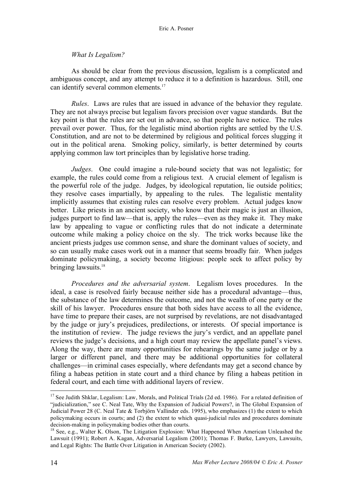#### *What Is Legalism?*

As should be clear from the previous discussion, legalism is a complicated and ambiguous concept, and any attempt to reduce it to a definition is hazardous. Still, one can identify several common elements. 17

*Rules*. Laws are rules that are issued in advance of the behavior they regulate. They are not always precise but legalism favors precision over vague standards. But the key point is that the rules are set out in advance, so that people have notice. The rules prevail over power. Thus, for the legalistic mind abortion rights are settled by the U.S. Constitution, and are not to be determined by religious and political forces slugging it out in the political arena. Smoking policy, similarly, is better determined by courts applying common law tort principles than by legislative horse trading.

*Judges*. One could imagine a rule-bound society that was not legalistic; for example, the rules could come from a religious text. A crucial element of legalism is the powerful role of the judge. Judges, by ideological reputation, lie outside politics; they resolve cases impartially, by appealing to the rules. The legalistic mentality implicitly assumes that existing rules can resolve every problem. Actual judges know better. Like priests in an ancient society, who know that their magic is just an illusion, judges purport to find law—that is, apply the rules—even as they make it. They make law by appealing to vague or conflicting rules that do not indicate a determinate outcome while making a policy choice on the sly. The trick works because like the ancient priests judges use common sense, and share the dominant values of society, and so can usually make cases work out in a manner that seems broadly fair. When judges dominate policymaking, a society become litigious: people seek to affect policy by bringing lawsuits. 18

*Procedures and the adversarial system*. Legalism loves procedures. In the ideal, a case is resolved fairly because neither side has a procedural advantage—thus, the substance of the law determines the outcome, and not the wealth of one party or the skill of his lawyer. Procedures ensure that both sides have access to all the evidence, have time to prepare their cases, are not surprised by revelations, are not disadvantaged by the judge or jury's prejudices, predilections, or interests. Of special importance is the institution of review. The judge reviews the jury's verdict, and an appellate panel reviews the judge's decisions, and a high court may review the appellate panel's views. Along the way, there are many opportunities for rehearings by the same judge or by a larger or different panel, and there may be additional opportunities for collateral challenges—in criminal cases especially, where defendants may get a second chance by filing a habeas petition in state court and a third chance by filing a habeas petition in federal court, and each time with additional layers of review.

<sup>&</sup>lt;sup>17</sup> See Judith Shklar, Legalism: Law, Morals, and Political Trials (2d ed. 1986). For a related definition of "judicialization," see C. Neal Tate, Why the Expansion of Judicial Powers?, in The Global Expansion of Judicial Power 28 (C. Neal Tate & Torbjörn Vallinder eds. 1995), who emphasizes (1) the extent to which policymaking occurs in courts; and (2) the extent to which quasi-judicial rules and procedures dominate decision-making in policymaking bodies other than courts.

 $^{18}$  See, e.g., Walter K. Olson, The Litigation Explosion: What Happened When American Unleashed the Lawsuit (1991); Robert A. Kagan, Adversarial Legalism (2001); Thomas F. Burke, Lawyers, Lawsuits, and Legal Rights: The Battle Over Litigation in American Society (2002).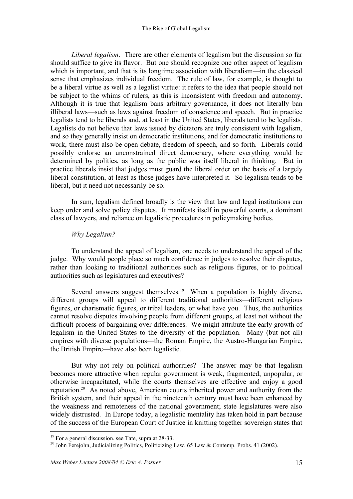*Liberal legalism*. There are other elements of legalism but the discussion so far should suffice to give its flavor. But one should recognize one other aspect of legalism which is important, and that is its longtime association with liberalism—in the classical sense that emphasizes individual freedom. The rule of law, for example, is thought to be a liberal virtue as well as a legalist virtue: it refers to the idea that people should not be subject to the whims of rulers, as this is inconsistent with freedom and autonomy. Although it is true that legalism bans arbitrary governance, it does not literally ban illiberal laws—such as laws against freedom of conscience and speech. But in practice legalists tend to be liberals and, at least in the United States, liberals tend to be legalists. Legalists do not believe that laws issued by dictators are truly consistent with legalism, and so they generally insist on democratic institutions, and for democratic institutions to work, there must also be open debate, freedom of speech, and so forth. Liberals could possibly endorse an unconstrained direct democracy, where everything would be determined by politics, as long as the public was itself liberal in thinking. But in practice liberals insist that judges must guard the liberal order on the basis of a largely liberal constitution, at least as those judges have interpreted it. So legalism tends to be liberal, but it need not necessarily be so.

In sum, legalism defined broadly is the view that law and legal institutions can keep order and solve policy disputes. It manifests itself in powerful courts, a dominant class of lawyers, and reliance on legalistic procedures in policymaking bodies.

# *Why Legalism?*

To understand the appeal of legalism, one needs to understand the appeal of the judge. Why would people place so much confidence in judges to resolve their disputes, rather than looking to traditional authorities such as religious figures, or to political authorities such as legislatures and executives?

Several answers suggest themselves.<sup>19</sup> When a population is highly diverse, different groups will appeal to different traditional authorities—different religious figures, or charismatic figures, or tribal leaders, or what have you. Thus, the authorities cannot resolve disputes involving people from different groups, at least not without the difficult process of bargaining over differences. We might attribute the early growth of legalism in the United States to the diversity of the population. Many (but not all) empires with diverse populations—the Roman Empire, the Austro-Hungarian Empire, the British Empire—have also been legalistic.

But why not rely on political authorities? The answer may be that legalism becomes more attractive when regular government is weak, fragmented, unpopular, or otherwise incapacitated, while the courts themselves are effective and enjoy a good reputation.20 As noted above, American courts inherited power and authority from the British system, and their appeal in the nineteenth century must have been enhanced by the weakness and remoteness of the national government; state legislatures were also widely distrusted. In Europe today, a legalistic mentality has taken hold in part because of the success of the European Court of Justice in knitting together sovereign states that

<sup>&</sup>lt;sup>19</sup> For a general discussion, see Tate, supra at 28-33.<br><sup>20</sup> John Ferejohn, Judicializing Politics, Politicizing Law, 65 Law & Contemp. Probs. 41 (2002).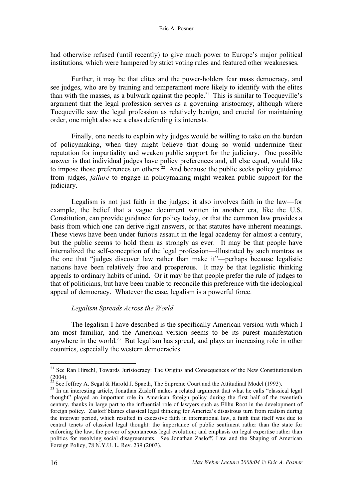had otherwise refused (until recently) to give much power to Europe's major political institutions, which were hampered by strict voting rules and featured other weaknesses.

Further, it may be that elites and the power-holders fear mass democracy, and see judges, who are by training and temperament more likely to identify with the elites than with the masses, as a bulwark against the people. <sup>21</sup> This is similar to Tocqueville's argument that the legal profession serves as a governing aristocracy, although where Tocqueville saw the legal profession as relatively benign, and crucial for maintaining order, one might also see a class defending its interests.

Finally, one needs to explain why judges would be willing to take on the burden of policymaking, when they might believe that doing so would undermine their reputation for impartiality and weaken public support for the judiciary. One possible answer is that individual judges have policy preferences and, all else equal, would like to impose those preferences on others. <sup>22</sup> And because the public seeks policy guidance from judges, *failure* to engage in policymaking might weaken public support for the judiciary.

Legalism is not just faith in the judges; it also involves faith in the law—for example, the belief that a vague document written in another era, like the U.S. Constitution, can provide guidance for policy today, or that the common law provides a basis from which one can derive right answers, or that statutes have inherent meanings. These views have been under furious assault in the legal academy for almost a century, but the public seems to hold them as strongly as ever. It may be that people have internalized the self-conception of the legal profession—illustrated by such mantras as the one that "judges discover law rather than make it"—perhaps because legalistic nations have been relatively free and prosperous. It may be that legalistic thinking appeals to ordinary habits of mind. Or it may be that people prefer the rule of judges to that of politicians, but have been unable to reconcile this preference with the ideological appeal of democracy. Whatever the case, legalism is a powerful force.

# *Legalism Spreads Across the World*

The legalism I have described is the specifically American version with which I am most familiar, and the American version seems to be its purest manifestation anywhere in the world. <sup>23</sup> But legalism has spread, and plays an increasing role in other countries, especially the western democracies.

<sup>&</sup>lt;sup>21</sup> See Ran Hirschl, Towards Juristocracy: The Origins and Consequences of the New Constitutionalism (2004).<br><sup>22</sup> See Jeffrey A. Segal & Harold J. Spaeth, The Supreme Court and the Attitudinal Model (1993).<br><sup>23</sup> In an interesting article, Jonathan Zasloff makes a related argument that what he calls "classical legal

thought" played an important role in American foreign policy during the first half of the twentieth century, thanks in large part to the influential role of lawyers such as Elihu Root in the development of foreign policy. Zasloff blames classical legal thinking for America's disastrous turn from realism during the interwar period, which resulted in excessive faith in international law, a faith that itself was due to central tenets of classical legal thought: the importance of public sentiment rather than the state for enforcing the law; the power of spontaneous legal evolution; and emphasis on legal expertise rather than politics for resolving social disagreements. See Jonathan Zasloff, Law and the Shaping of American Foreign Policy, 78 N.Y.U. L. Rev. 239 (2003).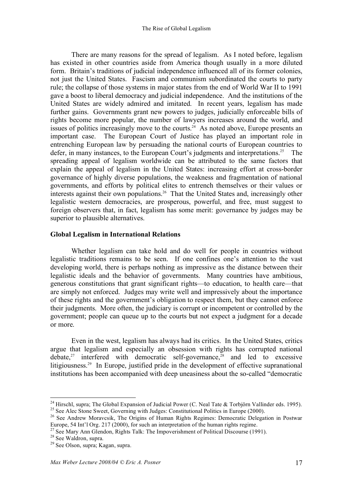There are many reasons for the spread of legalism. As I noted before, legalism has existed in other countries aside from America though usually in a more diluted form. Britain's traditions of judicial independence influenced all of its former colonies, not just the United States. Fascism and communism subordinated the courts to party rule; the collapse of those systems in major states from the end of World War II to 1991 gave a boost to liberal democracy and judicial independence. And the institutions of the United States are widely admired and imitated. In recent years, legalism has made further gains. Governments grant new powers to judges, judicially enforceable bills of rights become more popular, the number of lawyers increases around the world, and issues of politics increasingly move to the courts. <sup>24</sup> As noted above, Europe presents an important case. The European Court of Justice has played an important role in entrenching European law by persuading the national courts of European countries to defer, in many instances, to the European Court's judgments and interpretations.<sup>25</sup> The spreading appeal of legalism worldwide can be attributed to the same factors that explain the appeal of legalism in the United States: increasing effort at cross-border governance of highly diverse populations, the weakness and fragmentation of national governments, and efforts by political elites to entrench themselves or their values or interests against their own populations. <sup>26</sup> That the United States and, increasingly other legalistic western democracies, are prosperous, powerful, and free, must suggest to foreign observers that, in fact, legalism has some merit: governance by judges may be superior to plausible alternatives.

# **Global Legalism in International Relations**

Whether legalism can take hold and do well for people in countries without legalistic traditions remains to be seen. If one confines one's attention to the vast developing world, there is perhaps nothing as impressive as the distance between their legalistic ideals and the behavior of governments. Many countries have ambitious, generous constitutions that grant significant rights—to education, to health care—that are simply not enforced. Judges may write well and impressively about the importance of these rights and the government's obligation to respect them, but they cannot enforce their judgments. More often, the judiciary is corrupt or incompetent or controlled by the government; people can queue up to the courts but not expect a judgment for a decade or more.

Even in the west, legalism has always had its critics. In the United States, critics argue that legalism and especially an obsession with rights has corrupted national debate, <sup>27</sup> interfered with democratic self-governance, <sup>28</sup> and led to excessive litigiousness. <sup>29</sup> In Europe, justified pride in the development of effective supranational institutions has been accompanied with deep uneasiness about the so-called "democratic

<sup>&</sup>lt;sup>24</sup> Hirschl, supra; The Global Expansion of Judicial Power (C. Neal Tate & Torbjörn Vallinder eds. 1995).<br><sup>25</sup> See Alec Stone Sweet, Governing with Judges: Constitutional Politics in Europe (2000).<br><sup>26</sup> See Andrew Moravc

<sup>&</sup>lt;sup>27</sup> See Mary Ann Glendon, Rights Talk: The Impoverishment of Political Discourse (1991).<br><sup>28</sup> See Waldron, supra.<br><sup>29</sup> See Olson, supra. Kagan, supra.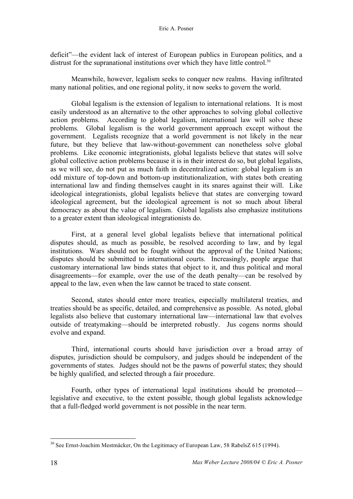deficit"—the evident lack of interest of European publics in European politics, and a distrust for the supranational institutions over which they have little control.<sup>30</sup>

Meanwhile, however, legalism seeks to conquer new realms. Having infiltrated many national polities, and one regional polity, it now seeks to govern the world.

Global legalism is the extension of legalism to international relations. It is most easily understood as an alternative to the other approaches to solving global collective action problems. According to global legalism, international law will solve these problems. Global legalism is the world government approach except without the government. Legalists recognize that a world government is not likely in the near future, but they believe that law-without-government can nonetheless solve global problems. Like economic integrationists, global legalists believe that states will solve global collective action problems because it is in their interest do so, but global legalists, as we will see, do not put as much faith in decentralized action: global legalism is an odd mixture of top-down and bottom-up institutionalization, with states both creating international law and finding themselves caught in its snares against their will. Like ideological integrationists, global legalists believe that states are converging toward ideological agreement, but the ideological agreement is not so much about liberal democracy as about the value of legalism. Global legalists also emphasize institutions to a greater extent than ideological integrationists do.

First, at a general level global legalists believe that international political disputes should, as much as possible, be resolved according to law, and by legal institutions. Wars should not be fought without the approval of the United Nations; disputes should be submitted to international courts. Increasingly, people argue that customary international law binds states that object to it, and thus political and moral disagreements—for example, over the use of the death penalty—can be resolved by appeal to the law, even when the law cannot be traced to state consent.

Second, states should enter more treaties, especially multilateral treaties, and treaties should be as specific, detailed, and comprehensive as possible. As noted, global legalists also believe that customary international law—international law that evolves outside of treatymaking—should be interpreted robustly. Jus cogens norms should evolve and expand.

Third, international courts should have jurisdiction over a broad array of disputes, jurisdiction should be compulsory, and judges should be independent of the governments of states. Judges should not be the pawns of powerful states; they should be highly qualified, and selected through a fair procedure.

Fourth, other types of international legal institutions should be promoted legislative and executive, to the extent possible, though global legalists acknowledge that a full-fledged world government is not possible in the near term.

<sup>&</sup>lt;sup>30</sup> See Ernst-Joachim Mestmäcker, On the Legitimacy of European Law, 58 RabelsZ 615 (1994).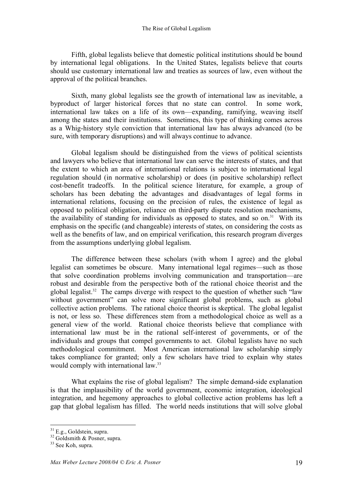Fifth, global legalists believe that domestic political institutions should be bound by international legal obligations. In the United States, legalists believe that courts should use customary international law and treaties as sources of law, even without the approval of the political branches.

Sixth, many global legalists see the growth of international law as inevitable, a byproduct of larger historical forces that no state can control. In some work, international law takes on a life of its own—expanding, ramifying, weaving itself among the states and their institutions. Sometimes, this type of thinking comes across as a Whig-history style conviction that international law has always advanced (to be sure, with temporary disruptions) and will always continue to advance.

Global legalism should be distinguished from the views of political scientists and lawyers who believe that international law can serve the interests of states, and that the extent to which an area of international relations is subject to international legal regulation should (in normative scholarship) or does (in positive scholarship) reflect cost-benefit tradeoffs. In the political science literature, for example, a group of scholars has been debating the advantages and disadvantages of legal forms in international relations, focusing on the precision of rules, the existence of legal as opposed to political obligation, reliance on third-party dispute resolution mechanisms, the availability of standing for individuals as opposed to states, and so on.31 With its emphasis on the specific (and changeable) interests of states, on considering the costs as well as the benefits of law, and on empirical verification, this research program diverges from the assumptions underlying global legalism.

The difference between these scholars (with whom I agree) and the global legalist can sometimes be obscure. Many international legal regimes—such as those that solve coordination problems involving communication and transportation—are robust and desirable from the perspective both of the rational choice theorist and the global legalist.<sup>32</sup> The camps diverge with respect to the question of whether such "law without government" can solve more significant global problems, such as global collective action problems. The rational choice theorist is skeptical. The global legalist is not, or less so. These differences stem from a methodological choice as well as a general view of the world. Rational choice theorists believe that compliance with international law must be in the rational self-interest of governments, or of the individuals and groups that compel governments to act. Global legalists have no such methodological commitment. Most American international law scholarship simply takes compliance for granted; only a few scholars have tried to explain why states would comply with international law.<sup>33</sup>

What explains the rise of global legalism? The simple demand-side explanation is that the implausibility of the world government, economic integration, ideological integration, and hegemony approaches to global collective action problems has left a gap that global legalism has filled. The world needs institutions that will solve global

<sup>&</sup>lt;sup>31</sup> E.g., Goldstein, supra.<br><sup>32</sup> Goldsmith & Posner, supra.<br><sup>33</sup> See Koh, supra.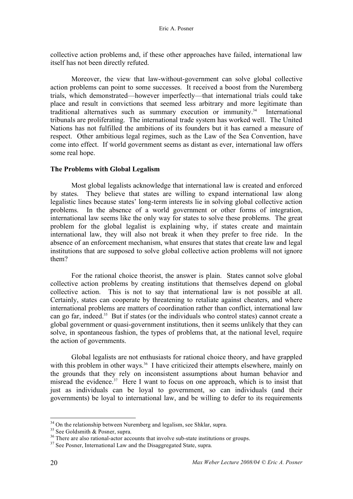collective action problems and, if these other approaches have failed, international law itself has not been directly refuted.

Moreover, the view that law-without-government can solve global collective action problems can point to some successes. It received a boost from the Nuremberg trials, which demonstrated—however imperfectly—that international trials could take place and result in convictions that seemed less arbitrary and more legitimate than traditional alternatives such as summary execution or immunity.<sup>34</sup> International tribunals are proliferating. The international trade system has worked well. The United Nations has not fulfilled the ambitions of its founders but it has earned a measure of respect. Other ambitious legal regimes, such as the Law of the Sea Convention, have come into effect. If world government seems as distant as ever, international law offers some real hope.

#### **The Problems with Global Legalism**

Most global legalists acknowledge that international law is created and enforced by states. They believe that states are willing to expand international law along legalistic lines because states' long-term interests lie in solving global collective action problems. In the absence of a world government or other forms of integration, international law seems like the only way for states to solve these problems. The great problem for the global legalist is explaining why, if states create and maintain international law, they will also not break it when they prefer to free ride. In the absence of an enforcement mechanism, what ensures that states that create law and legal institutions that are supposed to solve global collective action problems will not ignore them?

For the rational choice theorist, the answer is plain. States cannot solve global collective action problems by creating institutions that themselves depend on global collective action. This is not to say that international law is not possible at all. Certainly, states can cooperate by threatening to retaliate against cheaters, and where international problems are matters of coordination rather than conflict, international law can go far, indeed.35 But if states (or the individuals who control states) cannot create a global government or quasi-government institutions, then it seems unlikely that they can solve, in spontaneous fashion, the types of problems that, at the national level, require the action of governments.

Global legalists are not enthusiasts for rational choice theory, and have grappled with this problem in other ways.<sup>36</sup> I have criticized their attempts elsewhere, mainly on the grounds that they rely on inconsistent assumptions about human behavior and misread the evidence.<sup>37</sup> Here I want to focus on one approach, which is to insist that just as individuals can be loyal to government, so can individuals (and their governments) be loyal to international law, and be willing to defer to its requirements

<sup>&</sup>lt;sup>34</sup> On the relationship between Nuremberg and legalism, see Shklar, supra.<br><sup>35</sup> See Goldsmith & Posner, supra.<br><sup>36</sup> There are also rational-actor accounts that involve sub-state institutions or groups.<br><sup>37</sup> See Posner. I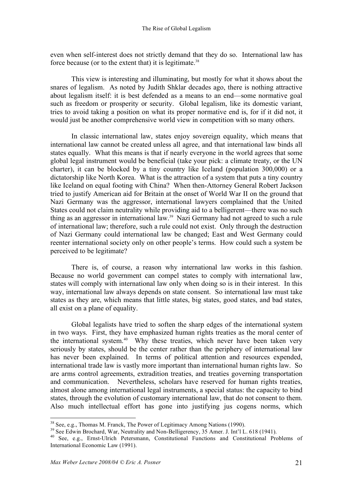even when self-interest does not strictly demand that they do so. International law has force because (or to the extent that) it is legitimate.<sup>38</sup>

This view is interesting and illuminating, but mostly for what it shows about the snares of legalism. As noted by Judith Shklar decades ago, there is nothing attractive about legalism itself: it is best defended as a means to an end—some normative goal such as freedom or prosperity or security. Global legalism, like its domestic variant, tries to avoid taking a position on what its proper normative end is, for if it did not, it would just be another comprehensive world view in competition with so many others.

In classic international law, states enjoy sovereign equality, which means that international law cannot be created unless all agree, and that international law binds all states equally. What this means is that if nearly everyone in the world agrees that some global legal instrument would be beneficial (take your pick: a climate treaty, or the UN charter), it can be blocked by a tiny country like Iceland (population 300,000) or a dictatorship like North Korea. What is the attraction of a system that puts a tiny country like Iceland on equal footing with China? When then-Attorney General Robert Jackson tried to justify American aid for Britain at the onset of World War II on the ground that Nazi Germany was the aggressor, international lawyers complained that the United States could not claim neutrality while providing aid to a belligerent—there was no such thing as an aggressor in international law. <sup>39</sup> Nazi Germany had not agreed to such a rule of international law; therefore, such a rule could not exist. Only through the destruction of Nazi Germany could international law be changed; East and West Germany could reenter international society only on other people's terms. How could such a system be perceived to be legitimate?

There is, of course, a reason why international law works in this fashion. Because no world government can compel states to comply with international law, states will comply with international law only when doing so is in their interest. In this way, international law always depends on state consent. So international law must take states as they are, which means that little states, big states, good states, and bad states, all exist on a plane of equality.

Global legalists have tried to soften the sharp edges of the international system in two ways. First, they have emphasized human rights treaties as the moral center of the international system. <sup>40</sup> Why these treaties, which never have been taken very seriously by states, should be the center rather than the periphery of international law has never been explained. In terms of political attention and resources expended, international trade law is vastly more important than international human rights law. So are arms control agreements, extradition treaties, and treaties governing transportation and communication. Nevertheless, scholars have reserved for human rights treaties, almost alone among international legal instruments, a special status: the capacity to bind states, through the evolution of customary international law, that do not consent to them. Also much intellectual effort has gone into justifying jus cogens norms, which

<sup>&</sup>lt;sup>38</sup> See, e.g., Thomas M. Franck, The Power of Legitimacy Among Nations (1990).<br><sup>39</sup> See Edwin Brochard, War, Neutrality and Non-Belligerency, 35 Amer. J. Int'l L. 618 (1941).<br><sup>40</sup> See, e.g., Ernst-Ulrich Petersmann, Cons International Economic Law (1991).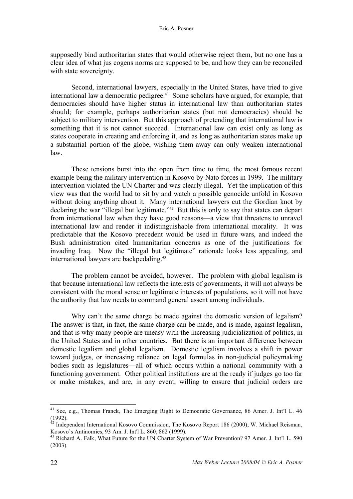supposedly bind authoritarian states that would otherwise reject them, but no one has a clear idea of what jus cogens norms are supposed to be, and how they can be reconciled with state sovereignty.

Second, international lawyers, especially in the United States, have tried to give international law a democratic pedigree. <sup>41</sup> Some scholars have argued, for example, that democracies should have higher status in international law than authoritarian states should; for example, perhaps authoritarian states (but not democracies) should be subject to military intervention. But this approach of pretending that international law is something that it is not cannot succeed. International law can exist only as long as states cooperate in creating and enforcing it, and as long as authoritarian states make up a substantial portion of the globe, wishing them away can only weaken international law.

These tensions burst into the open from time to time, the most famous recent example being the military intervention in Kosovo by Nato forces in 1999. The military intervention violated the UN Charter and was clearly illegal. Yet the implication of this view was that the world had to sit by and watch a possible genocide unfold in Kosovo without doing anything about it. Many international lawyers cut the Gordian knot by declaring the war "illegal but legitimate."<sup>42</sup> But this is only to say that states can depart from international law when they have good reasons—a view that threatens to unravel international law and render it indistinguishable from international morality. It was predictable that the Kosovo precedent would be used in future wars, and indeed the Bush administration cited humanitarian concerns as one of the justifications for invading Iraq. Now the "illegal but legitimate" rationale looks less appealing, and international lawyers are backpedaling.<sup>43</sup>

The problem cannot be avoided, however. The problem with global legalism is that because international law reflects the interests of governments, it will not always be consistent with the moral sense or legitimate interests of populations, so it will not have the authority that law needs to command general assent among individuals.

Why can't the same charge be made against the domestic version of legalism? The answer is that, in fact, the same charge can be made, and is made, against legalism, and that is why many people are uneasy with the increasing judicialization of politics, in the United States and in other countries. But there is an important difference between domestic legalism and global legalism. Domestic legalism involves a shift in power toward judges, or increasing reliance on legal formulas in non-judicial policymaking bodies such as legislatures—all of which occurs within a national community with a functioning government. Other political institutions are at the ready if judges go too far or make mistakes, and are, in any event, willing to ensure that judicial orders are

 <sup>41</sup> See, e.g., Thomas Franck, The Emerging Right to Democratic Governance, <sup>86</sup> Amer. J. Int'l L. <sup>46</sup>

<sup>(1992).&</sup>lt;br><sup>42</sup> Independent International Kosovo Commission, The Kosovo Report 186 (2000); W. Michael Reisman, Kosovo's Antinomies, 93 Am. J. Int'l L. 860, 862 (1999).

<sup>&</sup>lt;sup>43</sup> Richard A. Falk, What Future for the UN Charter System of War Prevention? 97 Amer. J. Int'l L. 590 (2003).